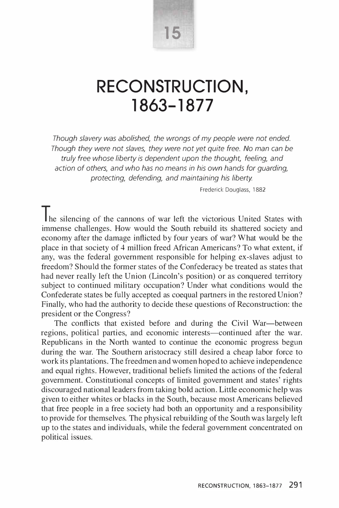

# **RECONSTRUCTION, 1863-1877**

*Though slavery was abolished, the wrongs of my people were not ended. Though they were not slaves, they were not yet quite free. No man can be truly free whose liberty is dependent upon the thought, feeling, and action of others, and who has no means in his own hands for guarding, protecting, defending, and maintaining his liberty* 

Frederick Douglass, 1882

The silencing of the cannons of war left the victorious United States with immense challenges. How would the South rebuild its shattered society and economy after the damage inflicted by four years of war? What would be the place in that society of 4 million freed African Americans? To what extent, if any, was the federal government responsible for helping ex-slaves adjust to freedom? Should the former states of the Confederacy be treated as states that had never really left the Union (Lincoln's position) or as conquered territory subject to continued military occupation? Under what conditions would the Confederate states be fully accepted as coequal partners in the restored Union? Finally, who had the authority to decide these questions of Reconstruction: the president or the Congress?

The conflicts that existed before and during the Civil War—between regions, political parties, and economic interests—continued after the war. Republicans in the North wanted to continue the economic progress begun during the war. The Southern aristocracy still desired a cheap labor force to work its plantations. The freedmen and women hoped to achieve independence and equal rights. However, traditional beliefs limited the actions of the federal government. Constitutional concepts of limited government and states' rights discouraged national leaders from taking bold action. Little economic help was given to either whites or blacks in the South, because most Americans believed that free people in a free society had both an opportunity and a responsibility to provide for themselves. The physical rebuilding of the South was largely left up to the states and individuals, while the federal government concentrated on political issues.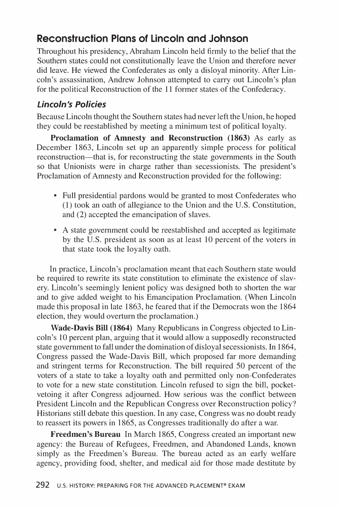# **Reconstruction Plans of Lincoln and Johnson**

Throughout his presidency, Abraham Lincoln held firmly to the belief that the Southern states could not constitutionally leave the Union and therefore never did leave. He viewed the Confederates as only a disloyal minority. After Lincoln's assassination, Andrew Johnson attempted to carry out Lincoln's plan for the political Reconstruction of the 11 former states of the Confederacy.

# *Lincoln's Policies*

Because Lincoln thought the Southern states had never left the Union, he hoped they could be reestablished by meeting a minimum test of political loyalty.

**Proclamation of Amnesty and Reconstruction (1863)** As early as December 1863, Lincoln set up an apparently simple process for political reconstruction—that is, for reconstructing the state governments in the South so that Unionists were in charge rather than secessionists. The president's Proclamation of Amnesty and Reconstruction provided for the following:

- Full presidential pardons would be granted to most Confederates who (1) took an oath of allegiance to the Union and the U.S. Constitution, and (2) accepted the emancipation of slaves.
- A state government could be reestablished and accepted as legitimate by the U.S. president as soon as at least 10 percent of the voters in that state took the loyalty oath.

In practice, Lincoln's proclamation meant that each Southern state would be required to rewrite its state constitution to eliminate the existence of slavery. Lincoln's seemingly lenient policy was designed both to shorten the war and to give added weight to his Emancipation Proclamation. (When Lincoln made this proposal in late 1863, he feared that if the Democrats won the 1864 election, they would overturn the proclamation.)

**Wade-Davis Bill (1864)** Many Republicans in Congress objected to Lincoln's 10 percent plan, arguing that it would allow a supposedly reconstructed state government to fall under the domination of disloyal secessionists. In 1864, Congress passed the Wade-Davis Bill, which proposed far more demanding and stringent terms for Reconstruction. The bill required 50 percent of the voters of a state to take a loyalty oath and permitted only non-Confederates to vote for a new state constitution. Lincoln refused to sign the bill, pocketvetoing it after Congress adjourned. How serious was the conflict between President Lincoln and the Republican Congress over Reconstruction policy? Historians still debate this question. In any case, Congress was no doubt ready to reassert its powers in 1865, as Congresses traditionally do after a war.

**Freedmen's Bureau** In March 1865, Congress created an important new agency: the Bureau of Refugees, Freedmen, and Abandoned Lands, known simply as the Freedmen's Bureau. The bureau acted as an early welfare agency, providing food, shelter, and medical aid for those made destitute by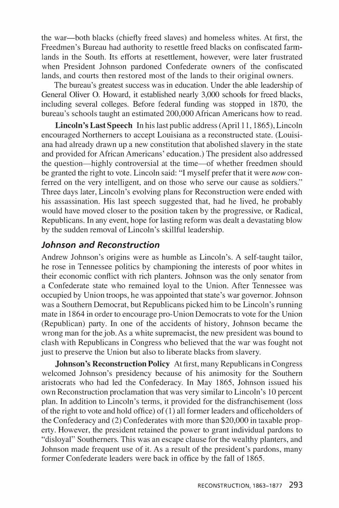the war-both blacks (chiefly freed slaves) and homeless whites. At first, the Freedmen's Bureau had authority to resettle freed blacks on confiscated farmlands in the South. Its efforts at resettlement, however, were later frustrated when President Johnson pardoned Confederate owners of the confiscated lands, and courts then restored most of the lands to their original owners.

The bureau's greatest success was in education. Under the able leadership of General Oliver 0. Howard, it established nearly 3,000 schools for freed blacks, including several colleges. Before federal funding was stopped in 1870, the bureau's schools taught an estimated 200,000 African Americans how to read.

**Lincoln's Last Speech** In his last public address (April 11, 1865), Lincoln encouraged Northerners to accept Louisiana as a reconstructed state. (Louisiana had already drawn up a new constitution that abolished slavery in the state and provided for African Americans' education.) The president also addressed the question-highly controversial at the time-of whether freedmen should be granted the right to vote. Lincoln said: "I myself prefer that it were *now* conferred on the very intelligent, and on those who serve our cause as soldiers." Three days later, Lincoln's evolving plans for Reconstruction were ended with his assassination. His last speech suggested that, had he lived, he probably would have moved closer to the position taken by the progressive, or Radical, Republicans. In any event, hope for lasting reform was dealt a devastating blow by the sudden removal of Lincoln's skillful leadership.

#### *Johnson and Reconstruction*

Andrew Johnson's origins were as humble as Lincoln's. A self-taught tailor, he rose in Tennessee politics by championing the interests of poor whites in their economic conflict with rich planters. Johnson was the only senator from a Confederate state who remained loyal to the Union. After Tennessee was occupied by Union troops, he was appointed that state's war governor. Johnson was a Southern Democrat, but Republicans picked him to be Lincoln's running mate in 1864 in order to encourage pro-Union Democrats to vote for the Union (Republican) party. In one of the accidents of history, Johnson became the wrong man for the job. As a white supremacist, the new president was bound to clash with Republicans in Congress who believed that the war was fought not just to preserve the Union but also to liberate blacks from slavery.

**Johnson's Reconstruction Policy** At first, many Republicans in Congress welcomed Johnson's presidency because of his animosity for the Southern aristocrats who had led the Confederacy. In May 1865, Johnson issued his own Reconstruction proclamation that was very similar to Lincoln's 10 percent plan. In addition to Lincoln's terms, it provided for the disfranchisement (loss of the right to vote and hold office) of ( 1) all former leaders and officeholders of the Confederacy and (2) Confederates with more than \$20,000 in taxable property. However, the president retained the power to grant individual pardons to "disloyal" Southerners. This was an escape clause for the wealthy planters, and Johnson made frequent use of it. As a result of the president's pardons, many former Confederate leaders were back in office by the fall of 1865.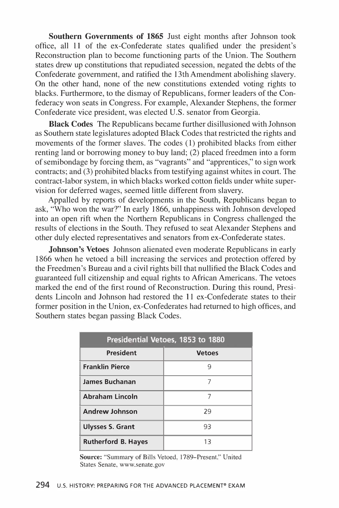**Southern Governments of 1865** Just eight months after Johnson took office, all 11 of the ex-Confederate states qualified under the president's Reconstruction plan to become functioning parts of the Union. The Southern states drew up constitutions that repudiated secession, negated the debts of the Confederate government, and ratified the 13th Amendment abolishing slavery. On the other hand, none of the new constitutions extended voting rights to blacks. Furthermore, to the dismay of Republicans, former leaders of the Confederacy won seats in Congress. For example, Alexander Stephens, the former Confederate vice president, was elected U.S. senator from Georgia.

**Black Codes** The Republicans became further disillusioned with Johnson as Southern state legislatures adopted Black Codes that restricted the rights and movements of the former slaves. The codes (1) prohibited blacks from either renting land or borrowing money to buy land; (2) placed freedmen into a form of semi bondage by forcing them, as "vagrants" and "apprentices," to sign work contracts; and (3) prohibited blacks from testifying against whites in court. The contract-labor system, in which blacks worked cotton fields under white supervision for deferred wages, seemed little different from slavery.

Appalled by reports of developments in the South, Republicans began to ask, "Who won the war?" In early 1866, unhappiness with Johnson developed into an open rift when the Northern Republicans in Congress challenged the results of elections in the South. They refused to seat Alexander Stephens and other duly elected representatives and senators from ex-Confederate states.

**Johnson's Vetoes** Johnson alienated even moderate Republicans in early 1866 when he vetoed a bill increasing the services and protection offered by the Freedmen's Bureau and a civil rights bill that nullified the Black Codes and guaranteed full citizenship and equal rights to African Americans. The vetoes marked the end of the first round of Reconstruction. During this round, Presidents Lincoln and Johnson had restored the 11 ex-Confederate states to their former position in the Union, ex-Confederates had returned to high offices, and Southern states began passing Black Codes.

| Presidential Vetoes, 1853 to 1880 |               |  |  |
|-----------------------------------|---------------|--|--|
| <b>President</b>                  | <b>Vetoes</b> |  |  |
| <b>Franklin Pierce</b>            | q             |  |  |
| James Buchanan                    |               |  |  |
| <b>Abraham Lincoln</b>            | 7             |  |  |
| <b>Andrew Johnson</b>             | 29            |  |  |
| <b>Ulysses S. Grant</b>           | 93            |  |  |
| <b>Rutherford B. Hayes</b>        | 13            |  |  |

**Source:** "Summary of Bills Vetoed, 1789-Present." United States Senate, www.senate.gov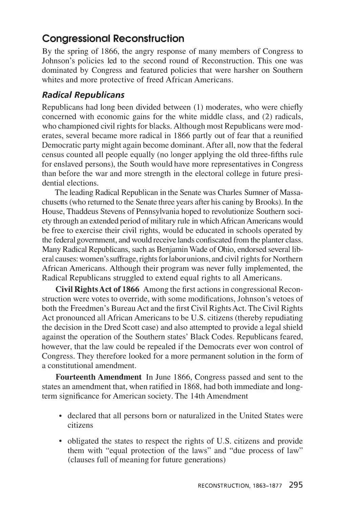# **Congressional Reconstruction**

By the spring of 1866, the angry response of many members of Congress to Johnson's policies led to the second round of Reconstruction. This one was dominated by Congress and featured policies that were harsher on Southern whites and more protective of freed African Americans.

# *Radical Republicans*

Republicans had long been divided between (1) moderates, who were chiefly concerned with economic gains for the white middle class, and (2) radicals, who championed civil rights for blacks. Although most Republicans were moderates, several became more radical in 1866 partly out of fear that a reunified Democratic party might again become dominant. After all, now that the federal census counted all people equally (no longer applying the old three-fifths rule for enslaved persons), the South would have more representatives in Congress than before the war and more strength in the electoral college in future presidential elections.

The leading Radical Republican in the Senate was Charles Sumner of Massachusetts (who returned to the Senate three years after his caning by Brooks). In the House, Thaddeus Stevens of Pennsylvania hoped to revolutionize Southern society through an extended period of military rule in which African Americans would be free to exercise their civil rights, would be educated in schools operated by the federal government, and would receive lands confiscated from the planter class. Many Radical Republicans, such as Benjamin Wade of Ohio, endorsed several liberal causes: women's suffrage, rights for labor unions, and civil rights for Northern African Americans. Although their program was never fully implemented, the Radical Republicans struggled to extend equal rights to all Americans.

**Civil Rights Act of 1866** Among the first actions in congressional Reconstruction were votes to override, with some modifications, Johnson's vetoes of both the Freedmen's Bureau Act and the first Civil Rights Act. The Civil Rights Act pronounced all African Americans to be U.S. citizens (thereby repudiating the decision in the Dred Scott case) and also attempted to provide a legal shield against the operation of the Southern states' Black Codes. Republicans feared, however, that the law could be repealed if the Democrats ever won control of Congress. They therefore looked for a more permanent solution in the form of a constitutional amendment.

**Fourteenth Amendment** In June 1866, Congress passed and sent to the states an amendment that, when ratified in 1868, had both immediate and longterm significance for American society. The 14th Amendment

- declared that all persons born or naturalized in the United States were citizens
- obligated the states to respect the rights of U.S. citizens and provide them with "equal protection of the laws" and "due process of law" ( clauses full of meaning for future generations)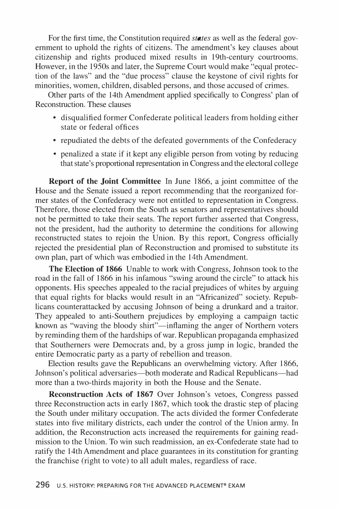For the first time, the Constitution required *states* as well as the federal government to uphold the rights of citizens. The amendment's key clauses about citizenship and rights produced mixed results in 19th-century courtrooms. However, in the 1950s and later, the Supreme Court would make "equal protection of the laws" and the "due process" clause the keystone of civil rights for minorities, women, children, disabled persons, and those accused of crimes.

Other parts of the 14th Amendment applied specifically to Congress' plan of Reconstruction. These clauses

- disqualified former Confederate political leaders from holding either state or federal offices
- repudiated the debts of the defeated governments of the Confederacy
- penalized a state if it kept any eligible person from voting by reducing that state's proportional representation in Congress and the electoral college

**Report of the Joint Committee** In June 1866, a joint committee of the House and the Senate issued a report recommending that the reorganized former states of the Confederacy were not entitled to representation in Congress. Therefore, those elected from the South as senators and representatives should not be permitted to take their seats. The report further asserted that Congress, not the president, had the authority to determine the conditions for allowing reconstructed states to rejoin the Union. By this report, Congress officially rejected the presidential plan of Reconstruction and promised to substitute its own plan, part of which was embodied in the 14th Amendment.

**The Election of 1866** Unable to work with Congress, Johnson took to the road in the fall of 1866 in his infamous "swing around the circle" to attack his opponents. His speeches appealed to the racial prejudices of whites by arguing that equal rights for blacks would result in an "Africanized" society. Republicans counterattacked by accusing Johnson of being a drunkard and a traitor. They appealed to anti-Southern prejudices by employing a campaign tactic known as "waving the bloody shirt"—inflaming the anger of Northern voters by reminding them of the hardships of war. Republican propaganda emphasized that Southerners were Democrats and, by a gross jump in logic, branded the entire Democratic party as a party of rebellion and treason.

Election results gave the Republicans an overwhelming victory. After 1866, Johnson's political adversaries-both moderate and Radical Republicans-had more than a two-thirds majority in both the House and the Senate.

**Reconstruction Acts of 1867** Over Johnson's vetoes, Congress passed three Reconstruction acts in early 1867, which took the drastic step of placing the South under military occupation. The acts divided the former Confederate states into five military districts, each under the control of the Union army. In addition, the Reconstruction acts increased the requirements for gaining readmission to the Union. To win such readmission, an ex-Confederate state had to ratify the 14th Amendment and place guarantees in its constitution for granting the franchise (right to vote) to all adult males, regardless of race.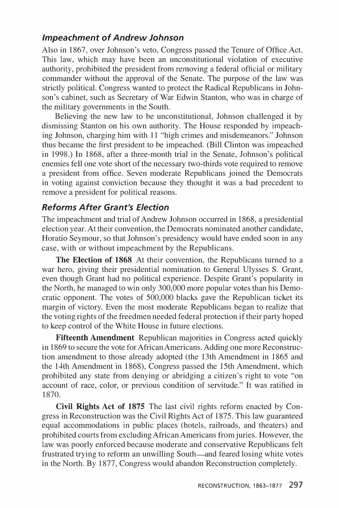## *Impeachment of Andrew Johnson*

Also in 1867, over Johnson's veto, Congress passed the Tenure of Office Act. This law, which may have been an unconstitutional violation of executive authority, prohibited the president from removing a federal official or military commander without the approval of the Senate. The purpose of the law was strictly political. Congress wanted to protect the Radical Republicans in Johnson's cabinet, such as Secretary of War Edwin Stanton, who was in charge of the military governments in the South.

Believing the new law to be unconstitutional, Johnson challenged it by dismissing Stanton on his own authority. The House responded by impeaching Johnson, charging him with 11 "high crimes and misdemeanors." Johnson thus became the first president to be impeached. (Bill Clinton was impeached in 1998.) In 1868, after a three-month trial in the Senate, Johnson's political enemies fell one vote short of the necessary two-thirds vote required to remove a president from office. Seven moderate Republicans joined the Democrats in voting against conviction because they thought it was a bad precedent to remove a president for political reasons.

## *Reforms After Grant's Election*

The impeachment and trial of Andrew Johnson occurred in 1868, a presidential election year. At their convention, the Democrats nominated another candidate, Horatio Seymour, so that Johnson's presidency would have ended soon in any case, with or without impeachment by the Republicans.

**The Election of 1868** At their convention, the Republicans turned to a war hero, giving their presidential nomination to General Ulysses S. Grant, even though Grant had no political experience. Despite Grant's popularity in the North, he managed to win only 300,000 more popular votes than his Democratic opponent. The votes of 500,000 blacks gave the Republican ticket its margin of victory. Even the most moderate Republicans began to realize that the voting rights of the freedmen needed federal protection if their party hoped to keep control of the White House in future elections.

**Fifteenth Amendment** Republican majorities in Congress acted quickly in 1869 to secure the vote for African Americans. Adding one more Reconstruction amendment to those already adopted (the 13th Amendment in 1865 and the 14th Amendment in 1868), Congress passed the 15th Amendment, which prohibited any state from denying or abridging a citizen's right to vote "on account of race, color, or previous condition of servitude." It was ratified in 1870.

**Civil Rights Act of 1875** The last civil rights reform enacted by Congress in Reconstruction was the Civil Rights Act of 1875. This law guaranteed equal accommodations in public places (hotels, railroads, and theaters) and prohibited courts from excluding African Americans from juries. However, the law was poorly enforced because moderate and conservative Republicans felt frustrated trying to reform an unwilling South—and feared losing white votes in the North. By 1877, Congress would abandon Reconstruction completely.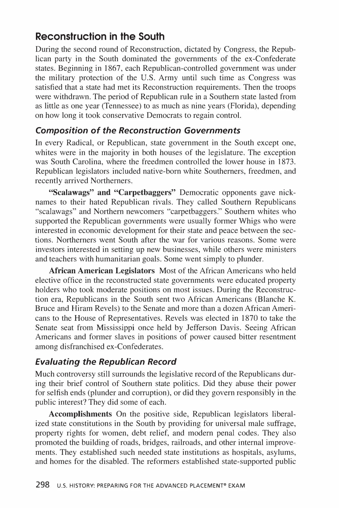# **Reconstruction in the South**

During the second round of Reconstruction, dictated by Congress, the Republican party in the South dominated the governments of the ex-Confederate states. Beginning in 1867, each Republican-controlled government was under the military protection of the U.S. Army until such time as Congress was satisfied that a state had met its Reconstruction requirements. Then the troops were withdrawn. The period of Republican rule in a Southern state lasted from as little as one year (Tennessee) to as much as nine years (Florida), depending on how long it took conservative Democrats to regain control.

#### *Composition of the Reconstruction Governments*

In every Radical, or Republican, state government in the South except one, whites were in the majority in both houses of the legislature. The exception was South Carolina, where the freedmen controlled the lower house in 1873. Republican legislators included native-born white Southerners, freedmen, and recently arrived Northerners.

**"Scalawags" and "Carpetbaggers"** Democratic opponents gave nicknames to their hated Republican rivals. They called Southern Republicans "scalawags" and Northern newcomers "carpetbaggers." Southern whites who supported the Republican governments were usually former Whigs who were interested in economic development for their state and peace between the sections. Northerners went South after the war for various reasons. Some were investors interested in setting up new businesses, while others were ministers and teachers with humanitarian goals. Some went simply to plunder.

**African American Legislators** Most of the African Americans who held elective office in the reconstructed state governments were educated property holders who took moderate positions on most issues. During the Reconstruction era, Republicans in the South sent two African Americans (Blanche K. Bruce and Hiram Revels) to the Senate and more than a dozen African Americans to the House of Representatives. Revels was elected in 1870 to take the Senate seat from Mississippi once held by Jefferson Davis. Seeing African Americans and former slaves in positions of power caused bitter resentment among disfranchised ex-Confederates.

## *Evaluating the Republican Record*

Much controversy still surrounds the legislative record of the Republicans during their brief control of Southern state politics. Did they abuse their power for selfish ends (plunder and corruption), or did they govern responsibly in the public interest? They did some of each.

**Accomplishments** On the positive side, Republican legislators liberalized state constitutions in the South by providing for universal male suffrage, property rights for women, debt relief, and modern penal codes. They also promoted the building of roads, bridges, railroads, and other internal improvements. They established such needed state institutions as hospitals, asylums, and homes for the disabled. The reformers established state-supported public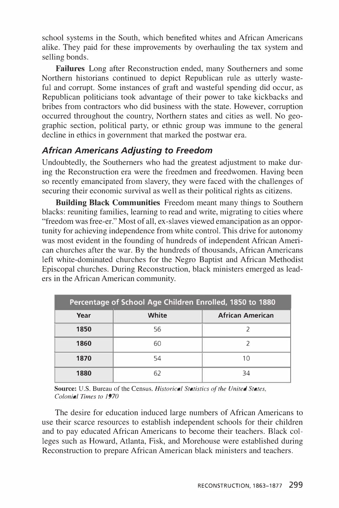school systems in the South, which benefited whites and African Americans alike. They paid for these improvements by overhauling the tax system and selling bonds.

**Failures** Long after Reconstruction ended, many Southerners and some Northern historians continued to depict Republican rule as utterly wasteful and corrupt. Some instances of graft and wasteful spending did occur, as Republican politicians took advantage of their power to take kickbacks and bribes from contractors who did business with the state. However, corruption occurred throughout the country, Northern states and cities as well. No geographic section, political party, or ethnic group was immune to the general decline in ethics in government that marked the postwar era.

# *African Americans Adjusting to Freedom*

Undoubtedly, the Southerners who had the greatest adjustment to make during the Reconstruction era were the freedmen and freedwomen. Having been so recently emancipated from slavery, they were faced with the challenges of securing their economic survival as well as their political rights as citizens.

**Building Black Communities** Freedom meant many things to Southern blacks: reuniting families, learning to read and write, migrating to cities where "freedom was free-er." Most of all, ex-slaves viewed emancipation as an opportunity for achieving independence from white control. This drive for autonomy was most evident in the founding of hundreds of independent African American churches after the war. By the hundreds of thousands, African Americans left white-dominated churches for the Negro Baptist and African Methodist Episcopal churches. During Reconstruction, black ministers emerged as leaders in the African American community.

| Percentage of School Age Children Enrolled, 1850 to 1880 |       |                         |  |
|----------------------------------------------------------|-------|-------------------------|--|
| Year                                                     | White | <b>African American</b> |  |
| 1850                                                     | 56    |                         |  |
| 1860                                                     | 60    |                         |  |
| 1870                                                     | 54    | 10                      |  |
| 1880                                                     | 62    | 34                      |  |

**Source:** U.S. Bureau of the Census. *Historical Statistics of the United States, Colonial Times to 1970* 

The desire for education induced large numbers of African Americans to use their scarce resources to establish independent schools for their children and to pay educated African Americans to become their teachers. Black colleges such as Howard, Atlanta, Fisk, and Morehouse were established during Reconstruction to prepare African American black ministers and teachers.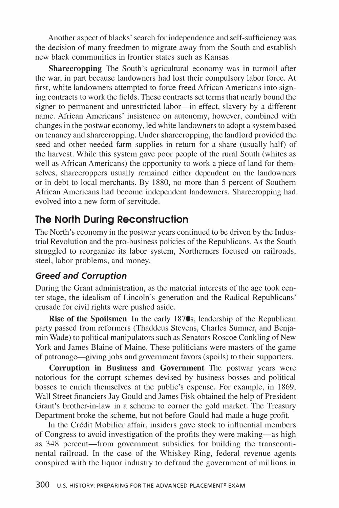Another aspect of blacks' search for independence and self-sufficiency was the decision of many freedmen to migrate away from the South and establish new black communities in frontier states such as Kansas.

**Sharecropping** The South's agricultural economy was in turmoil after the war, in part because landowners had lost their compulsory labor force. At first, white landowners attempted to force freed African Americans into signing contracts to work the fields. These contracts set terms that nearly bound the signer to permanent and unrestricted labor—in effect, slavery by a different name. African Americans' insistence on autonomy, however, combined with changes in the postwar economy, led white landowners to adopt a system based on tenancy and sharecropping. Under sharecropping, the landlord provided the seed and other needed farm supplies in return for a share (usually half) of the harvest. While this system gave poor people of the rural South (whites as well as African Americans) the opportunity to work a piece of land for themselves, sharecroppers usually remained either dependent on the landowners or in debt to local merchants. By 1880, no more than 5 percent of Southern African Americans had become independent landowners. Sharecropping had evolved into a new form of servitude.

# **The North During Reconstruction**

The North's economy in the postwar years continued to be driven by the Industrial Revolution and the pro-business policies of the Republicans. As the South struggled to reorganize its labor system, Northerners focused on railroads, steel, labor problems, and money.

#### *Greed and Corruption*

During the Grant administration, as the material interests of the age took center stage, the idealism of Lincoln's generation and the Radical Republicans' crusade for civil rights were pushed aside.

**Rise of the Spoilsmen** In the early 1870s, leadership of the Republican party passed from reformers (Thaddeus Stevens, Charles Sumner, and Benjamin Wade) to political manipulators such as Senators Roscoe Conkling of New York and James Blaine of Maine. These politicians were masters of the game of patronage-giving jobs and government favors (spoils) to their supporters.

**Corruption in Business and Government** The postwar years were notorious for the corrupt schemes devised by business bosses and political bosses to enrich themselves at the public's expense. For example, in 1869, Wall Street financiers Jay Gould and James Fisk obtained the help of President Grant's brother-in-law in a scheme to corner the gold market. The Treasury Department broke the scheme, but not before Gould had made a huge profit.

In the Credit Mobilier affair, insiders gave stock to influential members of Congress to avoid investigation of the profits they were making-as high as 348 percent—from government subsidies for building the transcontinental railroad. In the case of the Whiskey Ring, federal revenue agents conspired with the liquor industry to defraud the government of millions in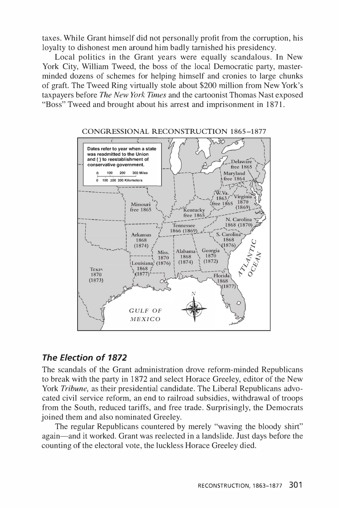taxes. While Grant himself did not personally profit from the corruption, his loyalty to dishonest men around him badly tarnished his presidency.

Local politics in the Grant years were equally scandalous. In New York City, William Tweed, the boss of the local Democratic party, masterminded dozens of schemes for helping himself and cronies to large chunks of graft. The Tweed Ring virtually stole about \$200 million from New York's taxpayers before *The New York Times* and the cartoonist Thomas Nast exposed "Boss" Tweed and brought about his arrest and imprisonment in 1871.



## *The Election of 1872*

The scandals of the Grant administration drove reform-minded Republicans to break with the party in 1872 and select Horace Greeley, editor of the New York *Tribune,* as their presidential candidate. The Liberal Republicans advocated civil service reform, an end to railroad subsidies, withdrawal of troops from the South, reduced tariffs, and free trade. Surprisingly, the Democrats joined them and also nominated Greeley.

The regular Republicans countered by merely "waving the bloody shirt" again-and it worked. Grant was reelected in a landslide. Just days before the counting of the electoral vote, the luckless Horace Greeley died.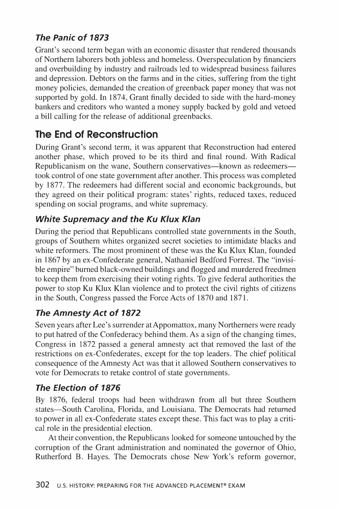# *The Panic of 1873*

Grant's second term began with an economic disaster that rendered thousands of Northern laborers both jobless and homeless. Overspeculation by financiers and overbuilding by industry and railroads led to widespread business failures and depression. Debtors on the farms and in the cities, suffering from the tight money policies, demanded the creation of greenback paper money that was not supported by gold. In 1874, Grant finally decided to side with the hard-money bankers and creditors who wanted a money supply backed by gold and vetoed a bill calling for the release of additional greenbacks.

# **The End of Reconstruction**

During Grant's second term, it was apparent that Reconstruction had entered another phase, which proved to be its third and final round. With Radical Republicanism on the wane, Southern conservatives—known as redeemers took control of one state government after another. This process was completed by 1877. The redeemers had different social and economic backgrounds, but they agreed on their political program: states' rights, reduced taxes, reduced spending on social programs, and white supremacy.

# *White Supremacy and the Ku Klux Klan*

During the period that Republicans controlled state governments in the South, groups of Southern whites organized secret societies to intimidate blacks and white reformers. The most prominent of these was the Ku Klux Klan, founded in 1867 by an ex-Confederate general, Nathaniel Bedford Forrest. The "invisible empire" burned black-owned buildings and flogged and murdered freedmen to keep them from exercising their voting rights. To give federal authorities the power to stop Ku Klux Klan violence and to protect the civil rights of citizens in the South, Congress passed the Force Acts of 1870 and 1871.

# *The Amnesty Act of 1872*

Seven years after Lee's surrender at Appomattox, many Northerners were ready to put hatred of the Confederacy behind them. As a sign of the changing times, Congress in 1872 passed a general amnesty act that removed the last of the restrictions on ex-Confederates, except for the top leaders. The chief political consequence of the Amnesty Act was that it allowed Southern conservatives to vote for Democrats to retake control of state governments.

# *The Election of 1876*

By 1876, federal troops had been withdrawn from all but three Southern states-South Carolina, Florida, and Louisiana. The Democrats had returned to power in all ex-Confederate states except these. This fact was to play a critical role in the presidential election.

At their convention, the Republicans looked for someone untouched by the corruption of the Grant administration and nominated the governor of Ohio, Rutherford B. Hayes. The Democrats chose New York's reform governor,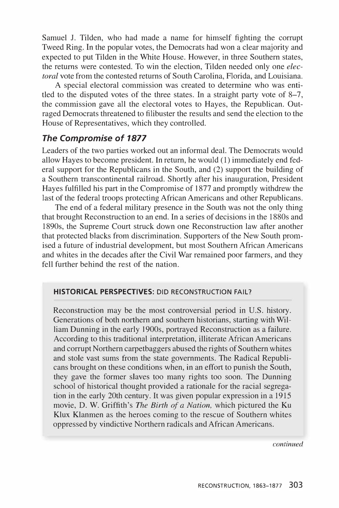Samuel J. Tilden, who had made a name for himself fighting the corrupt Tweed Ring. In the popular votes, the Democrats had won a clear majority and expected to put Tilden in the White House. However, in three Southern states, the returns were contested. To win the election, Tilden needed only one *electoral* vote from the contested returns of South Carolina, Florida, and Louisiana.

A special electoral commission was created to determine who was entitled to the disputed votes of the three states. In a straight party vote of 8-7, the commission gave all the electoral votes to Hayes, the Republican. Outraged Democrats threatened to filibuster the results and send the election to the House of Representatives, which they controlled.

#### *The Compromise of 1877*

Leaders of the two parties worked out an informal deal. The Democrats would allow Hayes to become president. In return, he would (1) immediately end federal support for the Republicans in the South, and (2) support the building of a Southern transcontinental railroad. Shortly after his inauguration, President Hayes fulfilled his part in the Compromise of 1877 and promptly withdrew the last of the federal troops protecting African Americans and other Republicans.

The end of a federal military presence in the South was not the only thing that brought Reconstruction to an end. In a series of decisions in the 1880s and 1890s, the Supreme Court struck down one Reconstruction law after another that protected blacks from discrimination. Supporters of the New South promised a future of industrial development, but most Southern African Americans and whites in the decades after the Civil War remained poor farmers, and they fell further behind the rest of the nation.

#### **HISTORICAL PERSPECTIVES:** DID RECONSTRUCTION FAIL?

Reconstruction may be the most controversial period in U.S. history. Generations of both northern and southern historians, starting with William Dunning in the early 1900s, portrayed Reconstruction as a failure. According to this traditional interpretation, illiterate African Americans and corrupt Northern carpetbaggers abused the rights of Southern whites and stole vast sums from the state governments. The Radical Republicans brought on these conditions when, in an effort to punish the South, they gave the former slaves too many rights too soon. The Dunning school of historical thought provided a rationale for the racial segregation in the early 20th century. It was given popular expression in a 1915 movie, D. W. Griffith's *The Birth of a Nation,* which pictured the Ku Klux Klanmen as the heroes coming to the rescue of Southern whites oppressed by vindictive Northern radicals and African Americans.

*continued*